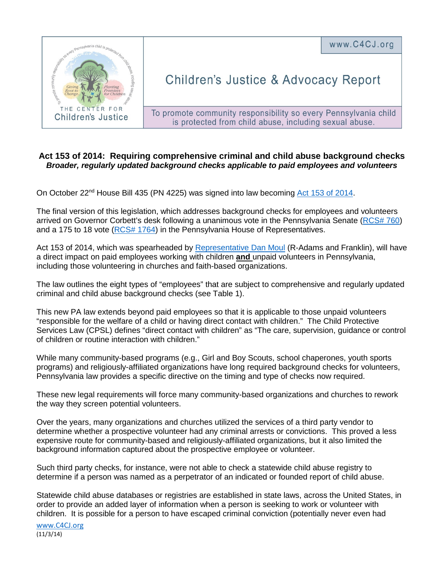<sub>vania child is pro</sub> CENTER FOR Children's Justice

## **Children's Justice & Advocacy Report**

www.C4CJ.org

To promote community responsibility so every Pennsylvania child is protected from child abuse, including sexual abuse.

## **Act 153 of 2014: Requiring comprehensive criminal and child abuse background checks**  *Broader, regularly updated background checks applicable to paid employees and volunteers*

On October 22<sup>nd</sup> House Bill 435 (PN 4225) was signed into law becoming [Act 153 of 2014.](http://www.legis.state.pa.us/cfdocs/legis/li/uconsCheck.cfm?yr=2014&sessInd=0&act=153)

The final version of this legislation, which addresses background checks for employees and volunteers arrived on Governor Corbett's desk following a unanimous vote in the Pennsylvania Senate [\(RCS# 760\)](http://www.legis.state.pa.us/CFDOCS/Legis/RC/Public/rc_view_action2.cfm?sess_yr=2013&sess_ind=0&rc_body=S&rc_nbr=760) and a 175 to 18 vote [\(RCS# 1764\)](http://www.legis.state.pa.us/CFDOCS/Legis/RC/Public/rc_view_action2.cfm?sess_yr=2013&sess_ind=0&rc_body=H&rc_nbr=1764) in the Pennsylvania House of Representatives.

Act 153 of 2014, which was spearheaded by [Representative Dan Moul](http://www.legis.state.pa.us/cfdocs/legis/home/member_information/house_bio.cfm?id=1101) (R-Adams and Franklin), will have a direct impact on paid employees working with children **and** unpaid volunteers in Pennsylvania, including those volunteering in churches and faith-based organizations.

The law outlines the eight types of "employees" that are subject to comprehensive and regularly updated criminal and child abuse background checks (see Table 1).

This new PA law extends beyond paid employees so that it is applicable to those unpaid volunteers "responsible for the welfare of a child or having direct contact with children." The Child Protective Services Law (CPSL) defines "direct contact with children" as "The care, supervision, guidance or control of children or routine interaction with children."

While many community-based programs (e.g., Girl and Boy Scouts, school chaperones, youth sports programs) and religiously-affiliated organizations have long required background checks for volunteers, Pennsylvania law provides a specific directive on the timing and type of checks now required.

These new legal requirements will force many community-based organizations and churches to rework the way they screen potential volunteers.

Over the years, many organizations and churches utilized the services of a third party vendor to determine whether a prospective volunteer had any criminal arrests or convictions. This proved a less expensive route for community-based and religiously-affiliated organizations, but it also limited the background information captured about the prospective employee or volunteer.

Such third party checks, for instance, were not able to check a statewide child abuse registry to determine if a person was named as a perpetrator of an indicated or founded report of child abuse.

Statewide child abuse databases or registries are established in state laws, across the United States, in order to provide an added layer of information when a person is seeking to work or volunteer with children. It is possible for a person to have escaped criminal conviction (potentially never even had

[www.C4CJ.org](http://www.c4cj.org/) (11/3/14)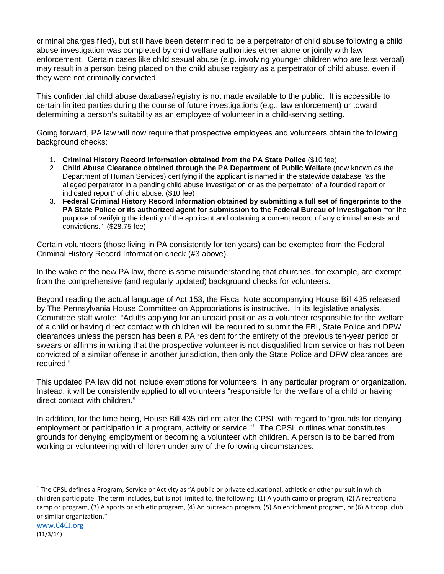criminal charges filed), but still have been determined to be a perpetrator of child abuse following a child abuse investigation was completed by child welfare authorities either alone or jointly with law enforcement. Certain cases like child sexual abuse (e.g. involving younger children who are less verbal) may result in a person being placed on the child abuse registry as a perpetrator of child abuse, even if they were not criminally convicted.

This confidential child abuse database/registry is not made available to the public. It is accessible to certain limited parties during the course of future investigations (e.g., law enforcement) or toward determining a person's suitability as an employee of volunteer in a child-serving setting.

Going forward, PA law will now require that prospective employees and volunteers obtain the following background checks:

- 1. **Criminal History Record Information obtained from the PA State Police** (\$10 fee)
- 2. **Child Abuse Clearance obtained through the PA Department of Public Welfare** (now known as the Department of Human Services) certifying if the applicant is named in the statewide database "as the alleged perpetrator in a pending child abuse investigation or as the perpetrator of a founded report or indicated report" of child abuse. (\$10 fee)
- 3. **Federal Criminal History Record Information obtained by submitting a full set of fingerprints to the PA State Police or its authorized agent for submission to the Federal Bureau of Investigation** "for the purpose of verifying the identity of the applicant and obtaining a current record of any criminal arrests and convictions." (\$28.75 fee)

Certain volunteers (those living in PA consistently for ten years) can be exempted from the Federal Criminal History Record Information check (#3 above).

In the wake of the new PA law, there is some misunderstanding that churches, for example, are exempt from the comprehensive (and regularly updated) background checks for volunteers.

Beyond reading the actual language of Act 153, the Fiscal Note accompanying House Bill 435 released by The Pennsylvania House Committee on Appropriations is instructive. In its legislative analysis, Committee staff wrote: "Adults applying for an unpaid position as a volunteer responsible for the welfare of a child or having direct contact with children will be required to submit the FBI, State Police and DPW clearances unless the person has been a PA resident for the entirety of the previous ten-year period or swears or affirms in writing that the prospective volunteer is not disqualified from service or has not been convicted of a similar offense in another jurisdiction, then only the State Police and DPW clearances are required."

This updated PA law did not include exemptions for volunteers, in any particular program or organization. Instead, it will be consistently applied to all volunteers "responsible for the welfare of a child or having direct contact with children."

In addition, for the time being, House Bill 435 did not alter the CPSL with regard to "grounds for denying employment or participation in a program, activity or service."<sup>[1](#page-1-0)</sup> The CPSL outlines what constitutes grounds for denying employment or becoming a volunteer with children. A person is to be barred from working or volunteering with children under any of the following circumstances:

 $\overline{a}$ 

<span id="page-1-0"></span> $1$  The CPSL defines a Program, Service or Activity as "A public or private educational, athletic or other pursuit in which children participate. The term includes, but is not limited to, the following: (1) A youth camp or program, (2) A recreational camp or program, (3) A sports or athletic program, (4) An outreach program, (5) An enrichment program, or (6) A troop, club or similar organization."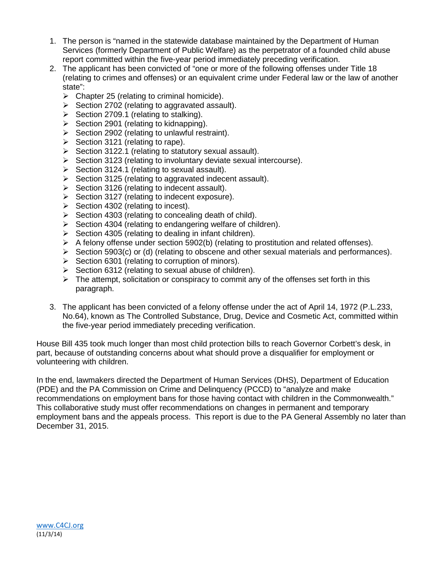- 1. The person is "named in the statewide database maintained by the Department of Human Services (formerly Department of Public Welfare) as the perpetrator of a founded child abuse report committed within the five-year period immediately preceding verification.
- 2. The applicant has been convicted of "one or more of the following offenses under Title 18 (relating to crimes and offenses) or an equivalent crime under Federal law or the law of another state":
	- $\triangleright$  Chapter 25 (relating to criminal homicide).
	- $\triangleright$  Section 2702 (relating to aggravated assault).
	- $\triangleright$  Section 2709.1 (relating to stalking).
	- $\triangleright$  Section 2901 (relating to kidnapping).
	- $\triangleright$  Section 2902 (relating to unlawful restraint).
	- $\triangleright$  Section 3121 (relating to rape).
	- $\triangleright$  Section 3122.1 (relating to statutory sexual assault).
	- $\triangleright$  Section 3123 (relating to involuntary deviate sexual intercourse).
	- $\triangleright$  Section 3124.1 (relating to sexual assault).
	- $\triangleright$  Section 3125 (relating to aggravated indecent assault).
	- $\triangleright$  Section 3126 (relating to indecent assault).
	- $\triangleright$  Section 3127 (relating to indecent exposure).
	- $\triangleright$  Section 4302 (relating to incest).
	- $\triangleright$  Section 4303 (relating to concealing death of child).
	- $\triangleright$  Section 4304 (relating to endangering welfare of children).
	- $\triangleright$  Section 4305 (relating to dealing in infant children).
	- $\triangleright$  A felony offense under section 5902(b) (relating to prostitution and related offenses).
	- $\triangleright$  Section 5903(c) or (d) (relating to obscene and other sexual materials and performances).
	- $\triangleright$  Section 6301 (relating to corruption of minors).
	- $\triangleright$  Section 6312 (relating to sexual abuse of children).
	- $\triangleright$  The attempt, solicitation or conspiracy to commit any of the offenses set forth in this paragraph.
- 3. The applicant has been convicted of a felony offense under the act of April 14, 1972 (P.L.233, No.64), known as The Controlled Substance, Drug, Device and Cosmetic Act, committed within the five-year period immediately preceding verification.

House Bill 435 took much longer than most child protection bills to reach Governor Corbett's desk, in part, because of outstanding concerns about what should prove a disqualifier for employment or volunteering with children.

In the end, lawmakers directed the Department of Human Services (DHS), Department of Education (PDE) and the PA Commission on Crime and Delinquency (PCCD) to "analyze and make recommendations on employment bans for those having contact with children in the Commonwealth." This collaborative study must offer recommendations on changes in permanent and temporary employment bans and the appeals process. This report is due to the PA General Assembly no later than December 31, 2015.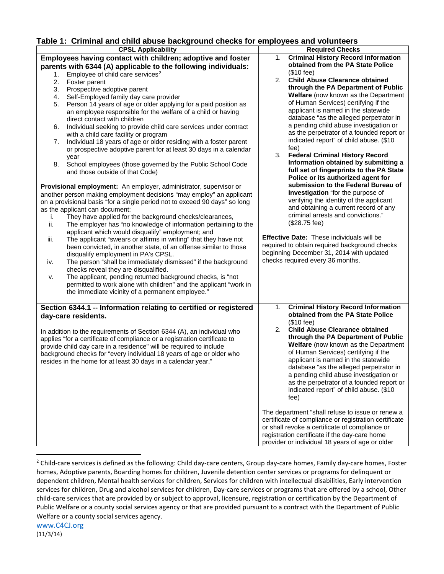## **Table 1: Criminal and child abuse background checks for employees and volunteers**

| Table 1: Criminal and child abuse background checks for employees and volunteers |                                                                            |    |                                                       |  |
|----------------------------------------------------------------------------------|----------------------------------------------------------------------------|----|-------------------------------------------------------|--|
| <b>CPSL Applicability</b>                                                        |                                                                            |    | <b>Required Checks</b>                                |  |
|                                                                                  | Employees having contact with children; adoptive and foster                | 1. | <b>Criminal History Record Information</b>            |  |
| parents with 6344 (A) applicable to the following individuals:                   |                                                                            |    | obtained from the PA State Police                     |  |
| 1.                                                                               | Employee of child care services <sup>2</sup>                               |    | $($10 \text{ fee})$                                   |  |
| 2.                                                                               | Foster parent                                                              | 2. | <b>Child Abuse Clearance obtained</b>                 |  |
| 3.                                                                               | Prospective adoptive parent                                                |    | through the PA Department of Public                   |  |
| 4.                                                                               | Self-Employed family day care provider                                     |    | Welfare (now known as the Department                  |  |
| 5.                                                                               | Person 14 years of age or older applying for a paid position as            |    | of Human Services) certifying if the                  |  |
|                                                                                  | an employee responsible for the welfare of a child or having               |    | applicant is named in the statewide                   |  |
|                                                                                  | direct contact with children                                               |    | database "as the alleged perpetrator in               |  |
| 6.                                                                               | Individual seeking to provide child care services under contract           |    | a pending child abuse investigation or                |  |
|                                                                                  | with a child care facility or program                                      |    | as the perpetrator of a founded report or             |  |
|                                                                                  | Individual 18 years of age or older residing with a foster parent          |    | indicated report" of child abuse. (\$10               |  |
| 7.                                                                               |                                                                            |    | fee)                                                  |  |
|                                                                                  | or prospective adoptive parent for at least 30 days in a calendar          | 3. | <b>Federal Criminal History Record</b>                |  |
|                                                                                  | year                                                                       |    | Information obtained by submitting a                  |  |
| 8.                                                                               | School employees (those governed by the Public School Code                 |    | full set of fingerprints to the PA State              |  |
|                                                                                  | and those outside of that Code)                                            |    | Police or its authorized agent for                    |  |
|                                                                                  |                                                                            |    | submission to the Federal Bureau of                   |  |
|                                                                                  | Provisional employment: An employer, administrator, supervisor or          |    | Investigation "for the purpose of                     |  |
|                                                                                  | another person making employment decisions "may employ" an applicant       |    |                                                       |  |
|                                                                                  | on a provisional basis "for a single period not to exceed 90 days" so long |    | verifying the identity of the applicant               |  |
|                                                                                  | as the applicant can document:                                             |    | and obtaining a current record of any                 |  |
| i.                                                                               | They have applied for the background checks/clearances,                    |    | criminal arrests and convictions."                    |  |
| ii.                                                                              | The employer has "no knowledge of information pertaining to the            |    | (\$28.75 fee)                                         |  |
|                                                                                  | applicant which would disqualify" employment; and                          |    |                                                       |  |
| iii.                                                                             | The applicant "swears or affirms in writing" that they have not            |    | Effective Date: These individuals will be             |  |
|                                                                                  | been convicted, in another state, of an offense similar to those           |    | required to obtain required background checks         |  |
|                                                                                  | disqualify employment in PA's CPSL.                                        |    | beginning December 31, 2014 with updated              |  |
| iv.                                                                              | The person "shall be immediately dismissed" if the background              |    | checks required every 36 months.                      |  |
|                                                                                  | checks reveal they are disqualified.                                       |    |                                                       |  |
| v.                                                                               | The applicant, pending returned background checks, is "not                 |    |                                                       |  |
|                                                                                  | permitted to work alone with children" and the applicant "work in          |    |                                                       |  |
|                                                                                  | the immediate vicinity of a permanent employee."                           |    |                                                       |  |
|                                                                                  |                                                                            |    |                                                       |  |
| Section 6344.1 -- Information relating to certified or registered                |                                                                            |    | <b>Criminal History Record Information</b>            |  |
|                                                                                  | day-care residents.                                                        |    | obtained from the PA State Police                     |  |
|                                                                                  |                                                                            |    | $($10$ fee)                                           |  |
|                                                                                  |                                                                            | 2. | <b>Child Abuse Clearance obtained</b>                 |  |
|                                                                                  | In addition to the requirements of Section 6344 (A), an individual who     |    | through the PA Department of Public                   |  |
|                                                                                  | applies "for a certificate of compliance or a registration certificate to  |    | Welfare (now known as the Department                  |  |
|                                                                                  | provide child day care in a residence" will be required to include         |    | of Human Services) certifying if the                  |  |
|                                                                                  | background checks for "every individual 18 years of age or older who       |    | applicant is named in the statewide                   |  |
|                                                                                  | resides in the home for at least 30 days in a calendar year."              |    |                                                       |  |
|                                                                                  |                                                                            |    | database "as the alleged perpetrator in               |  |
|                                                                                  |                                                                            |    | a pending child abuse investigation or                |  |
|                                                                                  |                                                                            |    | as the perpetrator of a founded report or             |  |
|                                                                                  |                                                                            |    | indicated report" of child abuse. (\$10               |  |
|                                                                                  |                                                                            |    | fee)                                                  |  |
|                                                                                  |                                                                            |    |                                                       |  |
|                                                                                  |                                                                            |    | The department "shall refuse to issue or renew a      |  |
|                                                                                  |                                                                            |    | certificate of compliance or registration certificate |  |
|                                                                                  |                                                                            |    | or shall revoke a certificate of compliance or        |  |
|                                                                                  |                                                                            |    | registration certificate if the day-care home         |  |
|                                                                                  |                                                                            |    | provider or individual 18 years of age or older       |  |

<span id="page-3-0"></span><sup>&</sup>lt;sup>2</sup> Child-care services is defined as the following: Child day-care centers, Group day-care homes, Family day-care homes, Foster homes, Adoptive parents, Boarding homes for children, Juvenile detention center services or programs for delinquent or dependent children, Mental health services for children, Services for children with intellectual disabilities, Early intervention services for children, Drug and alcohol services for children, Day-care services or programs that are offered by a school, Other child-care services that are provided by or subject to approval, licensure, registration or certification by the Department of Public Welfare or a county social services agency or that are provided pursuant to a contract with the Department of Public Welfare or a county social services agency.

 $\overline{a}$